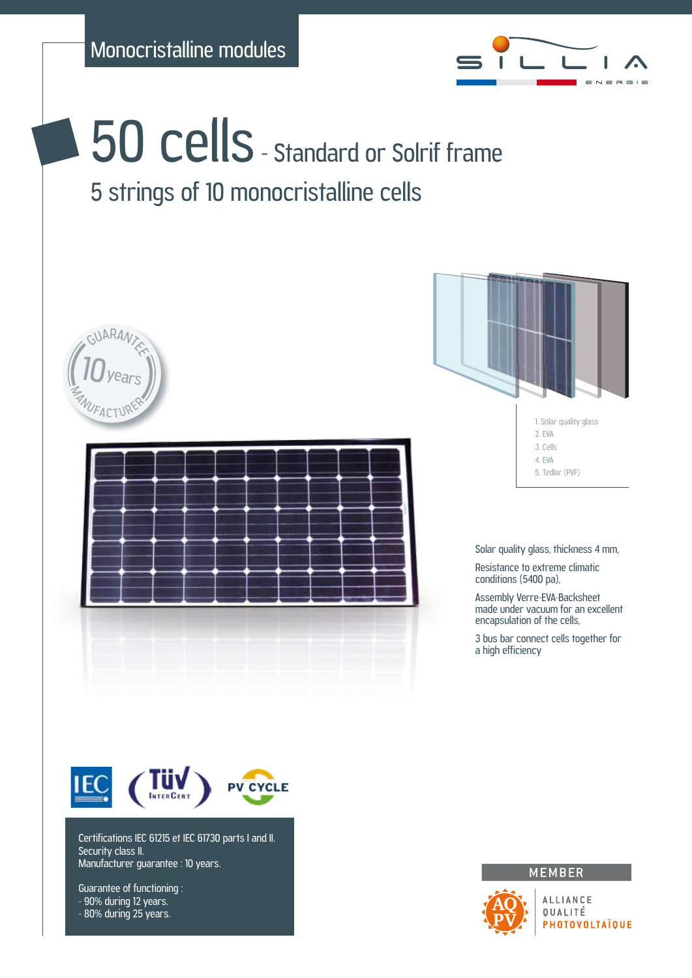

**50 cells** - Standard or Solrif frame 5 strings of 10 monocristalline cells





Certifications IEC 61215 et IEC 61730 parts I and II. Security class II. Manufacturer guarantee : 10 years.

Guarantee of functioning : - 90% during 12 years. - 80% during 25 years.